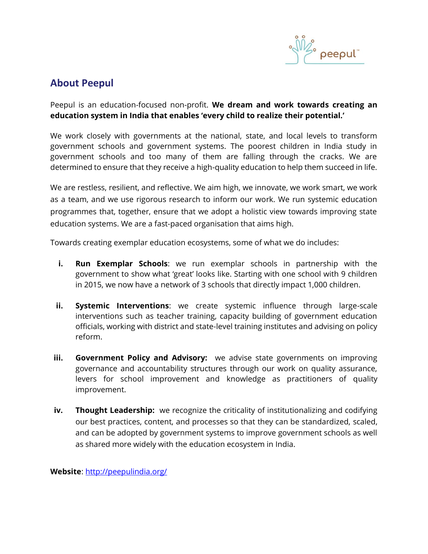

# **About Peepul**

Peepul is an education-focused non-profit. **We dream and work towards creating an education system in India that enables 'every child to realize their potential.'**

We work closely with governments at the national, state, and local levels to transform government schools and government systems. The poorest children in India study in government schools and too many of them are falling through the cracks. We are determined to ensure that they receive a high-quality education to help them succeed in life.

We are restless, resilient, and reflective. We aim high, we innovate, we work smart, we work as a team, and we use rigorous research to inform our work. We run systemic education programmes that, together, ensure that we adopt a holistic view towards improving state education systems. We are a fast-paced organisation that aims high.

Towards creating exemplar education ecosystems, some of what we do includes:

- **i. Run Exemplar Schools**: we run exemplar schools in partnership with the government to show what 'great' looks like. Starting with one school with 9 children in 2015, we now have a network of 3 schools that directly impact 1,000 children.
- **ii. Systemic Interventions**: we create systemic influence through large-scale interventions such as teacher training, capacity building of government education officials, working with district and state-level training institutes and advising on policy reform.
- **iii.** Government Policy and Advisory: we advise state governments on improving governance and accountability structures through our work on quality assurance, levers for school improvement and knowledge as practitioners of quality improvement.
- **iv. Thought Leadership:** we recognize the criticality of institutionalizing and codifying our best practices, content, and processes so that they can be standardized, scaled, and can be adopted by government systems to improve government schools as well as shared more widely with the education ecosystem in India.

**Website**:<http://peepulindia.org/>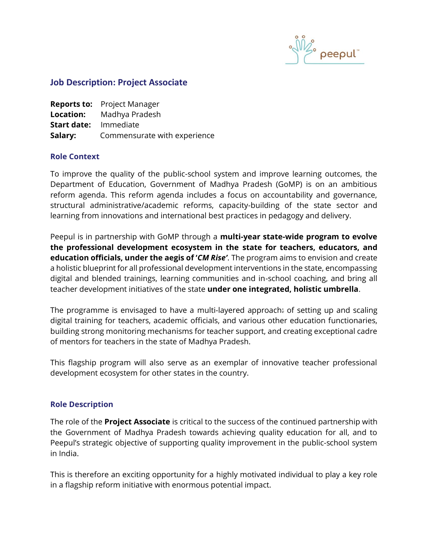

# **Job Description: Project Associate**

|                              | <b>Reports to:</b> Project Manager |
|------------------------------|------------------------------------|
|                              | <b>Location:</b> Madhya Pradesh    |
| <b>Start date:</b> Immediate |                                    |
| Salary:                      | Commensurate with experience       |

#### **Role Context**

To improve the quality of the public-school system and improve learning outcomes, the Department of Education, Government of Madhya Pradesh (GoMP) is on an ambitious reform agenda. This reform agenda includes a focus on accountability and governance, structural administrative/academic reforms, capacity-building of the state sector and learning from innovations and international best practices in pedagogy and delivery.

Peepul is in partnership with GoMP through a **multi-year state-wide program to evolve the professional development ecosystem in the state for teachers, educators, and education officials, under the aegis of '***CM Rise'*. The program aims to envision and create a holistic blueprint for all professional development interventions in the state, encompassing digital and blended trainings, learning communities and in-school coaching, and bring all teacher development initiatives of the state **under one integrated, holistic umbrella**.

The programme is envisaged to have a multi-layered approach: of setting up and scaling digital training for teachers, academic officials, and various other education functionaries, building strong monitoring mechanisms for teacher support, and creating exceptional cadre of mentors for teachers in the state of Madhya Pradesh.

This flagship program will also serve as an exemplar of innovative teacher professional development ecosystem for other states in the country.

#### **Role Description**

The role of the **Project Associate** is critical to the success of the continued partnership with the Government of Madhya Pradesh towards achieving quality education for all, and to Peepul's strategic objective of supporting quality improvement in the public-school system in India.

This is therefore an exciting opportunity for a highly motivated individual to play a key role in a flagship reform initiative with enormous potential impact.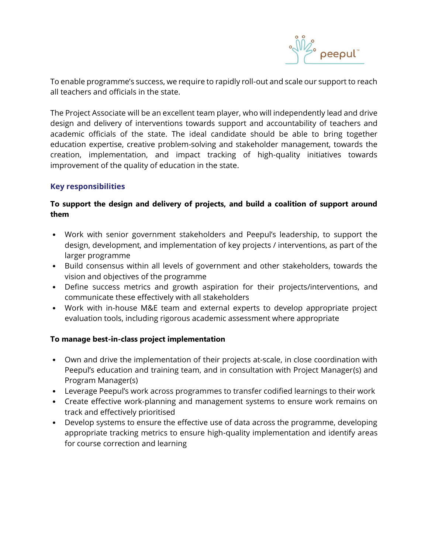

To enable programme's success, we require to rapidly roll-out and scale our support to reach all teachers and officials in the state.

The Project Associate will be an excellent team player, who will independently lead and drive design and delivery of interventions towards support and accountability of teachers and academic officials of the state. The ideal candidate should be able to bring together education expertise, creative problem-solving and stakeholder management, towards the creation, implementation, and impact tracking of high-quality initiatives towards improvement of the quality of education in the state.

# **Key responsibilities**

# **To support the design and delivery of projects, and build a coalition of support around them**

- Work with senior government stakeholders and Peepul's leadership, to support the design, development, and implementation of key projects / interventions, as part of the larger programme
- Build consensus within all levels of government and other stakeholders, towards the vision and objectives of the programme
- Define success metrics and growth aspiration for their projects/interventions, and communicate these effectively with all stakeholders
- Work with in-house M&E team and external experts to develop appropriate project evaluation tools, including rigorous academic assessment where appropriate

# **To manage best-in-class project implementation**

- Own and drive the implementation of their projects at-scale, in close coordination with Peepul's education and training team, and in consultation with Project Manager(s) and Program Manager(s)
- Leverage Peepul's work across programmes to transfer codified learnings to their work
- Create effective work-planning and management systems to ensure work remains on track and effectively prioritised
- Develop systems to ensure the effective use of data across the programme, developing appropriate tracking metrics to ensure high-quality implementation and identify areas for course correction and learning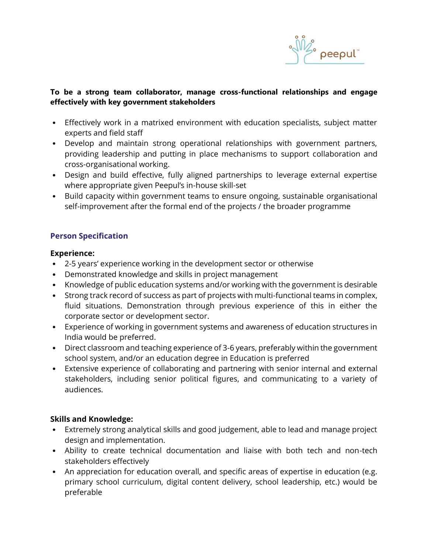

# **To be a strong team collaborator, manage cross-functional relationships and engage effectively with key government stakeholders**

- Effectively work in a matrixed environment with education specialists, subject matter experts and field staff
- Develop and maintain strong operational relationships with government partners, providing leadership and putting in place mechanisms to support collaboration and cross-organisational working.
- Design and build effective, fully aligned partnerships to leverage external expertise where appropriate given Peepul's in-house skill-set
- Build capacity within government teams to ensure ongoing, sustainable organisational self-improvement after the formal end of the projects / the broader programme

# **Person Specification**

## **Experience:**

- 2-5 years' experience working in the development sector or otherwise
- Demonstrated knowledge and skills in project management
- Knowledge of public education systems and/or working with the government is desirable
- Strong track record of success as part of projects with multi-functional teams in complex, fluid situations. Demonstration through previous experience of this in either the corporate sector or development sector.
- Experience of working in government systems and awareness of education structures in India would be preferred.
- Direct classroom and teaching experience of 3-6 years, preferably within the government school system, and/or an education degree in Education is preferred
- Extensive experience of collaborating and partnering with senior internal and external stakeholders, including senior political figures, and communicating to a variety of audiences.

# **Skills and Knowledge:**

- Extremely strong analytical skills and good judgement, able to lead and manage project design and implementation.
- Ability to create technical documentation and liaise with both tech and non-tech stakeholders effectively
- An appreciation for education overall, and specific areas of expertise in education (e.g. primary school curriculum, digital content delivery, school leadership, etc.) would be preferable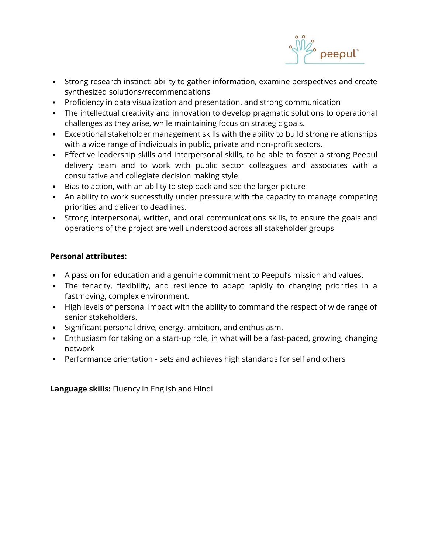

- Strong research instinct: ability to gather information, examine perspectives and create synthesized solutions/recommendations
- Proficiency in data visualization and presentation, and strong communication
- The intellectual creativity and innovation to develop pragmatic solutions to operational challenges as they arise, while maintaining focus on strategic goals.
- Exceptional stakeholder management skills with the ability to build strong relationships with a wide range of individuals in public, private and non-profit sectors.
- Effective leadership skills and interpersonal skills, to be able to foster a strong Peepul delivery team and to work with public sector colleagues and associates with a consultative and collegiate decision making style.
- Bias to action, with an ability to step back and see the larger picture
- An ability to work successfully under pressure with the capacity to manage competing priorities and deliver to deadlines.
- Strong interpersonal, written, and oral communications skills, to ensure the goals and operations of the project are well understood across all stakeholder groups

# **Personal attributes:**

- A passion for education and a genuine commitment to Peepul's mission and values.
- The tenacity, flexibility, and resilience to adapt rapidly to changing priorities in a fastmoving, complex environment.
- High levels of personal impact with the ability to command the respect of wide range of senior stakeholders.
- Significant personal drive, energy, ambition, and enthusiasm.
- Enthusiasm for taking on a start-up role, in what will be a fast-paced, growing, changing network
- Performance orientation sets and achieves high standards for self and others

**Language skills:** Fluency in English and Hindi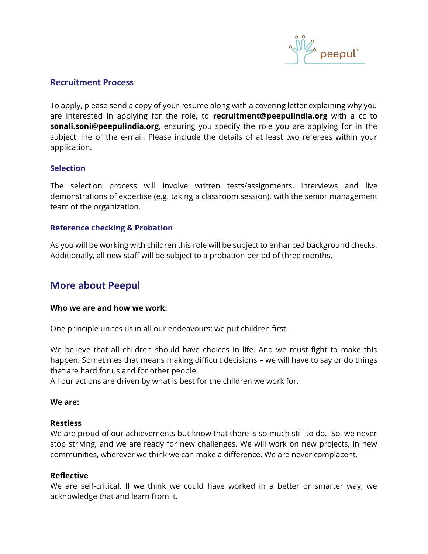

# **Recruitment Process**

To apply, please send a copy of your resume along with a covering letter explaining why you are interested in applying for the role, to **recruitment@peepulindia.org** with a cc to **sonali.soni@peepulindia.org**, ensuring you specify the role you are applying for in the subject line of the e-mail. Please include the details of at least two referees within your application.

## **Selection**

The selection process will involve written tests/assignments, interviews and live demonstrations of expertise (e.g. taking a classroom session), with the senior management team of the organization.

## **Reference checking & Probation**

As you will be working with children this role will be subject to enhanced background checks. Additionally, all new staff will be subject to a probation period of three months.

# **More about Peepul**

#### **Who we are and how we work:**

One principle unites us in all our endeavours: we put children first.

We believe that all children should have choices in life. And we must fight to make this happen. Sometimes that means making difficult decisions – we will have to say or do things that are hard for us and for other people.

All our actions are driven by what is best for the children we work for.

#### **We are:**

#### **Restless**

We are proud of our achievements but know that there is so much still to do. So, we never stop striving, and we are ready for new challenges. We will work on new projects, in new communities, wherever we think we can make a difference. We are never complacent.

#### **Reflective**

We are self-critical. If we think we could have worked in a better or smarter way, we acknowledge that and learn from it.